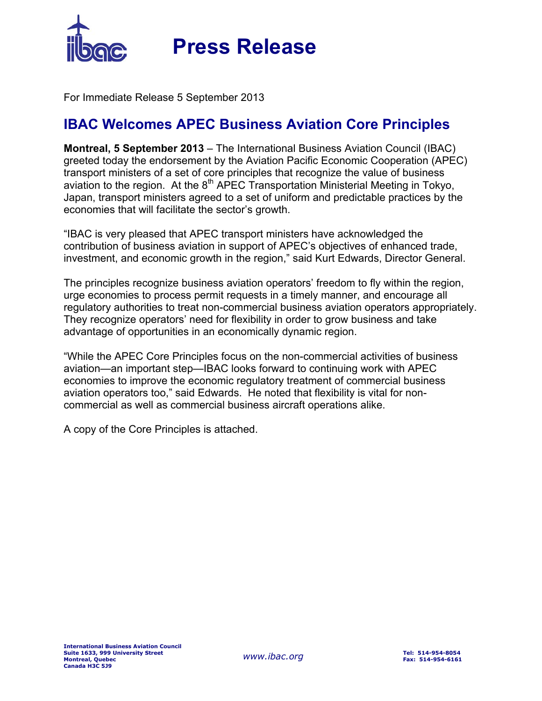

For Immediate Release 5 September 2013

## **IBAC Welcomes APEC Business Aviation Core Principles**

**Montreal, 5 September 2013** – The International Business Aviation Council (IBAC) greeted today the endorsement by the Aviation Pacific Economic Cooperation (APEC) transport ministers of a set of core principles that recognize the value of business aviation to the region. At the  $8<sup>th</sup>$  APEC Transportation Ministerial Meeting in Tokyo, Japan, transport ministers agreed to a set of uniform and predictable practices by the economies that will facilitate the sector's growth.

"IBAC is very pleased that APEC transport ministers have acknowledged the contribution of business aviation in support of APEC's objectives of enhanced trade, investment, and economic growth in the region," said Kurt Edwards, Director General.

The principles recognize business aviation operators' freedom to fly within the region, urge economies to process permit requests in a timely manner, and encourage all regulatory authorities to treat non-commercial business aviation operators appropriately. They recognize operators' need for flexibility in order to grow business and take advantage of opportunities in an economically dynamic region.

"While the APEC Core Principles focus on the non-commercial activities of business aviation—an important step—IBAC looks forward to continuing work with APEC economies to improve the economic regulatory treatment of commercial business aviation operators too," said Edwards. He noted that flexibility is vital for noncommercial as well as commercial business aircraft operations alike.

A copy of the Core Principles is attached.